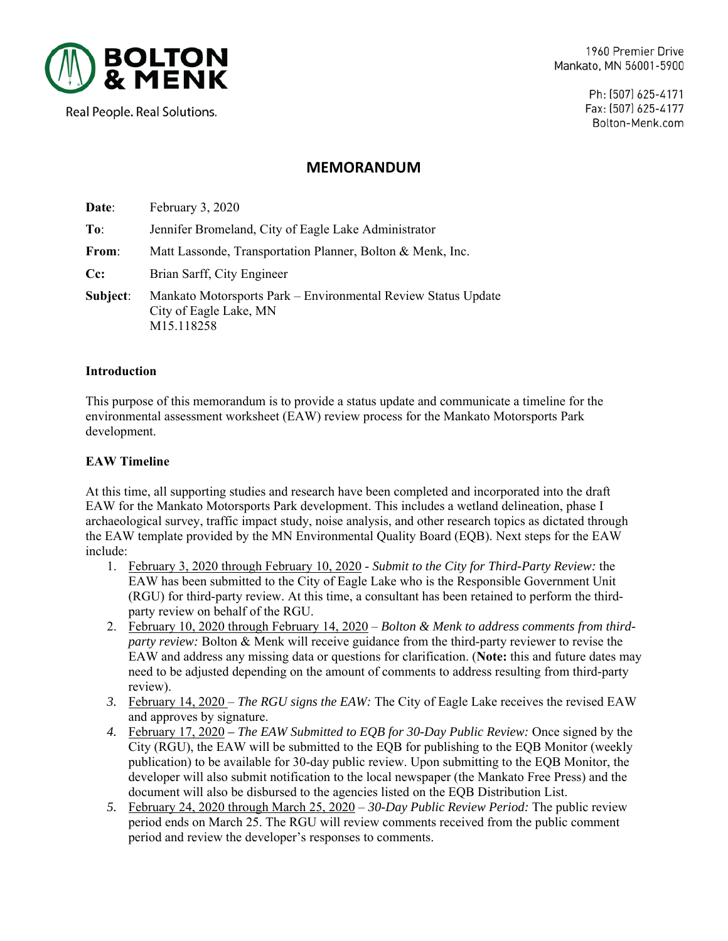

1960 Premier Drive Mankato, MN 56001-5900

> Ph: (507) 625-4171 Fax: (507) 625-4177 Bolton-Menk.com

# Real People. Real Solutions.

## **MEMORANDUM**

| Date:    | February 3, 2020                                                                                      |
|----------|-------------------------------------------------------------------------------------------------------|
| To:      | Jennifer Bromeland, City of Eagle Lake Administrator                                                  |
| From:    | Matt Lassonde, Transportation Planner, Bolton & Menk, Inc.                                            |
| $Cc$ :   | Brian Sarff, City Engineer                                                                            |
| Subject: | Mankato Motorsports Park – Environmental Review Status Update<br>City of Eagle Lake, MN<br>M15.118258 |

#### **Introduction**

This purpose of this memorandum is to provide a status update and communicate a timeline for the environmental assessment worksheet (EAW) review process for the Mankato Motorsports Park development.

### **EAW Timeline**

At this time, all supporting studies and research have been completed and incorporated into the draft EAW for the Mankato Motorsports Park development. This includes a wetland delineation, phase I archaeological survey, traffic impact study, noise analysis, and other research topics as dictated through the EAW template provided by the MN Environmental Quality Board (EQB). Next steps for the EAW include:

- 1. February 3, 2020 through February 10, 2020 *Submit to the City for Third-Party Review:* the EAW has been submitted to the City of Eagle Lake who is the Responsible Government Unit (RGU) for third-party review. At this time, a consultant has been retained to perform the thirdparty review on behalf of the RGU.
- 2. February 10, 2020 through February 14, 2020 *Bolton & Menk to address comments from thirdparty review:* Bolton & Menk will receive guidance from the third-party reviewer to revise the EAW and address any missing data or questions for clarification. (**Note:** this and future dates may need to be adjusted depending on the amount of comments to address resulting from third-party review).
- *3.* February 14, 2020 *The RGU signs the EAW:* The City of Eagle Lake receives the revised EAW and approves by signature.
- *4.* February 17, 2020  *The EAW Submitted to EQB for 30-Day Public Review:* Once signed by the City (RGU), the EAW will be submitted to the EQB for publishing to the EQB Monitor (weekly publication) to be available for 30-day public review. Upon submitting to the EQB Monitor, the developer will also submit notification to the local newspaper (the Mankato Free Press) and the document will also be disbursed to the agencies listed on the EQB Distribution List.
- *5.* February 24, 2020 through March 25, 2020 – *30-Day Public Review Period:* The public review period ends on March 25. The RGU will review comments received from the public comment period and review the developer's responses to comments.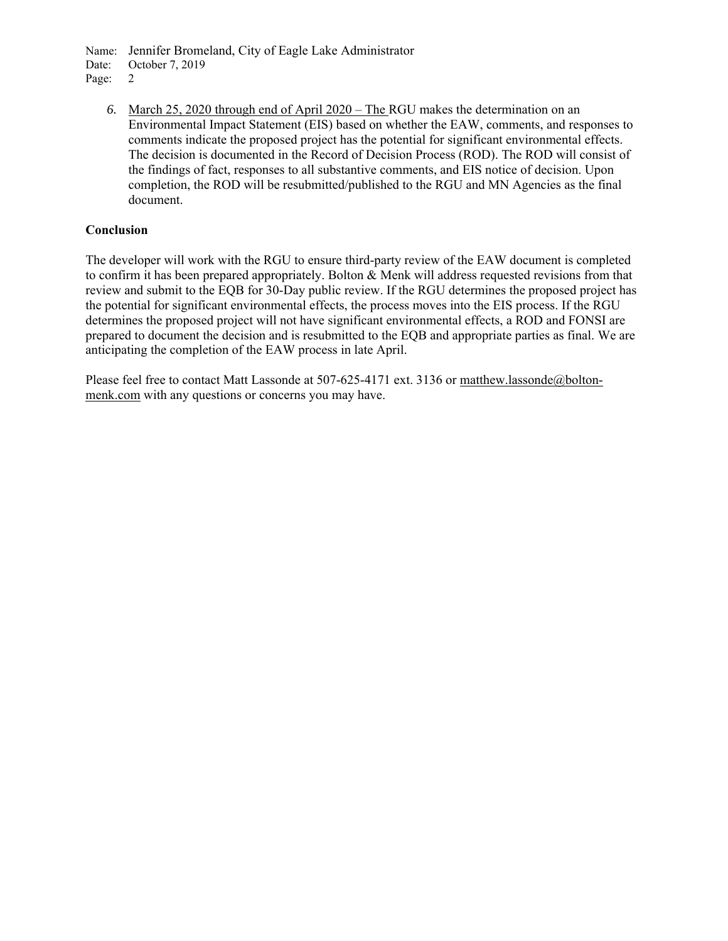Name: Jennifer Bromeland, City of Eagle Lake Administrator

Date: October 7, 2019

Page: 2

*6.* March 25, 2020 through end of April 2020 – The RGU makes the determination on an Environmental Impact Statement (EIS) based on whether the EAW, comments, and responses to comments indicate the proposed project has the potential for significant environmental effects. The decision is documented in the Record of Decision Process (ROD). The ROD will consist of the findings of fact, responses to all substantive comments, and EIS notice of decision. Upon completion, the ROD will be resubmitted/published to the RGU and MN Agencies as the final document.

### **Conclusion**

The developer will work with the RGU to ensure third-party review of the EAW document is completed to confirm it has been prepared appropriately. Bolton & Menk will address requested revisions from that review and submit to the EQB for 30-Day public review. If the RGU determines the proposed project has the potential for significant environmental effects, the process moves into the EIS process. If the RGU determines the proposed project will not have significant environmental effects, a ROD and FONSI are prepared to document the decision and is resubmitted to the EQB and appropriate parties as final. We are anticipating the completion of the EAW process in late April.

Please feel free to contact Matt Lassonde at 507-625-4171 ext. 3136 or matthew.lassonde@boltonmenk.com with any questions or concerns you may have.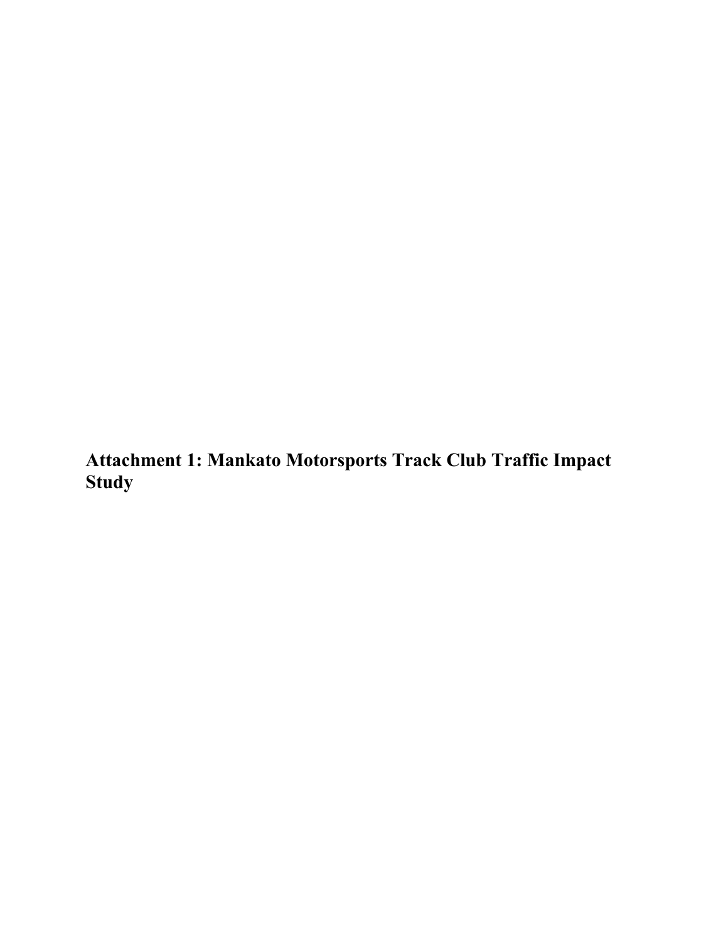**Attachment 1: Mankato Motorsports Track Club Traffic Impact Study**